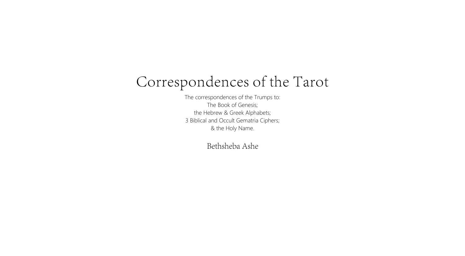## Correspondences of the Tarot

The correspondences of the Trumps to: The Book of Genesis; the Hebrew & Greek Alphabets; 3 Biblical and Occult Gematria Ciphers; & the Holy Name.

Bethsheba Ashe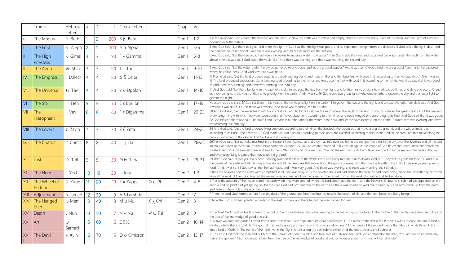|                | Trump                        | <b>Hebrew</b><br>Letter | #              | #               | #              | Greek Letter            |                    | Chap. | Ver.      |                                                                                                                                                                                                                                                                     |
|----------------|------------------------------|-------------------------|----------------|-----------------|----------------|-------------------------|--------------------|-------|-----------|---------------------------------------------------------------------------------------------------------------------------------------------------------------------------------------------------------------------------------------------------------------------|
| $\theta$ .     | The Magus                    | $\supset$ Beth          |                | $\overline{2}$  | 200            | $B \beta$ Beta          |                    | Gen 1 | $1 - 2$   | 1 In the beginning God created the heavens and the earth. 2 Nov<br>hovering over the waters.                                                                                                                                                                        |
| $\mathbf{L}$   | The Fool                     | א Aleph                 | $\overline{2}$ |                 | 100            | $A \alpha$ Alpha        |                    | Gen 1 | $3 - 5$   | 3 And God said, "Let there be light," and there was light. 4 God s<br>the darkness he called "night." And there was evening, and there                                                                                                                              |
| $\parallel$    | The High<br><b>Priestess</b> | a Gimel                 | $\overline{3}$ | $\overline{3}$  | 90             | $\Gamma$ $\gamma$ Gamma |                    | Gen 1 | $6 - 8$   | 6 And God said, "Let there be a vault between the waters to sepa<br>above it. And it was so. 8 God called the vault "sky." And there w                                                                                                                              |
| $\mathbb{H}$   | The Aeon                     | יש Shin                 | 3              | 3               | 90             | T T Tau                 |                    | Gen 1 | $9 - 10$  | 9 And God said, "Let the water under the sky be gathered to one<br>waters he called "seas." And God saw that it was good.                                                                                                                                           |
| $\mathsf{IV}$  | The Empress                  | <b>T</b> Daleth         | $\overline{4}$ | 4               | 80             | $\Delta \delta$ Delta   |                    | Gen 1 | $11 - 13$ | 11 Then God said, "Let the land produce vegetation: seed-bearing<br>12 The land produced vegetation: plants bearing seed according<br>13 And there was evening, and there was morning, the third day.                                                               |
| $\vee$         | The Universe                 | Tav T                   | 4              | 4               | 80             | Y u Upsilon             |                    | Gen 1 | $14 - 16$ | 14 And God said, "Let there be lights in the vault of the sky to set<br>let them be lights in the vault of the sky to give light on the earth<br>govern the night.                                                                                                  |
| V <sub>l</sub> | The Star                     | n Heh                   | 5              | 5               | 70             | $E \varepsilon$ Epsilon |                    | Gen 1 | $17 - 19$ | He also made the stars. 17 God set them in the vault of the sky to<br>saw that it was good. 19 And there was evening, and there was n                                                                                                                               |
| VII            | The<br>Hierophant            | I Vav                   | 6              | 6               | 60             | F F Digamma             |                    | Gen 1 | $20 - 23$ | 20 And God said, "Let the water teem with living creatures, and le<br>every living thing with which the water teems and that moves ab<br>22 God blessed them and said, "Be fruitful and increase in numbe<br>was morning, the fifth day.                            |
| VIII           | The Lovers                   | T Zayin                 |                |                 | 50             | Z ζ Zeta                |                    | Gen 1 | $24 - 25$ | 24 And God said, "Let the land produce living creatures accordin<br>according to its kind." And it was so. 25 God made the wild anim<br>ground according to their kinds. And God saw that it was good.                                                              |
| IX             | The Chariot                  | n Cheth                 | 8              | 8               | 40             | $H \eta$ Eta            |                    | Gen 1 | $26 - 28$ | 26Then God said, "Let us make mankind in our image, in our like<br>animals, and over all the creatures that move along the ground."<br>created them. 28 God blessed them and said to them, "Be fruitfu<br>and over every living creature that moves on the ground." |
| X              | Lust                         | <b>D</b> Teth           | 9              | 9               | 30             | $\Theta$ $\Theta$ Theta |                    | Gen 1 | $29 - 31$ | 29 Then God said, "I give you every seed-bearing plant on the fa<br>the beasts of the earth and all the birds in the sky and all the crea<br>food." And it was so. 31 God saw all that he had made, and it wa                                                       |
| XI             | The Hermit                   | ' Yod                   | 10             | 10 <sup>°</sup> | 20             | I ulota                 |                    | Gen 2 | $1 - 3$   | 1 Thus the heavens and the earth were completed in all their vast<br>from all his work. 3 Then God blessed the seventh day and made                                                                                                                                 |
| XII            | The Wheel of<br>Fortune      | C Kaph                  | 11             | 20              | 10             | К к Карра               | $\Phi \varphi$ Phi | Gen 2 | $4 - 6$   | 4 This is the account of the heavens and the earth when they we<br>earth a and no plant had yet sprung up, for the Lord God had no<br>and watered the whole surface of the ground.                                                                                  |
| XIII           | Adjustment                   | <b>b</b> Lamed          | 12             | 30              | 9              | $\wedge \wedge$ Lambda  |                    | Gen 2 |           | 7 Then the Lord God formed a man from the dust of the ground                                                                                                                                                                                                        |
| XIV            | The Hanged<br>Man            | <b>D</b> Mem            | 13             | 40              | 8              | M µ Mu                  | $X \times$ Chi     | Gen 2 | 8         | 8 Now the Lord God had planted a garden in the east, in Eden; a                                                                                                                                                                                                     |
| XV             | Death                        | Nun נ                   | 14             | 50              |                | N v Nu                  | $\Psi \psi$ Psi    | Gen 2 | 9         | 9 The Lord God made all kinds of trees grow out of the ground-<br>the tree of the knowledge of good and evil.                                                                                                                                                       |
| XVI            | Art                          | $\bigcirc$<br>Samekh    | 15             | 60              | 6 <sup>1</sup> | $\Xi \xi$ Xi            |                    | Gen 2 | $10 - 14$ | 10 A river watering the garden flowed from Eden; from there it w<br>Havilah, where there is gold. 12 The gold of that land is good; are<br>entire land of Cush. 14 The name of the third river is the Tigris; it                                                    |
| XVI            | The Devil                    | y Ayin                  | 16             | 70              | 5              | O o Omicron             |                    | Gen 2 | $15 - 17$ | 15 The Lord God took the man and put him in the Garden of Ede<br>tree in the garden; 17 but you must not eat from the tree of the I                                                                                                                                 |

2 Now the earth was formless and empty, darkness was over the surface of the deep, and the Spirit of God was

3 God saw that the light was good, and he separated the light from the darkness. 5 God called the light "day," and there was morning, the first day.

6 separate water from water." 7 So God made the vault and separated the water under the vault from the water are was evening, and there was morning, the second day.

In one place, and let dry ground appear." And it was so. 10 God called the dry ground "land," and the gathered

earing plants and trees on the land that bear fruit with seed in it, according to their various kinds." And it was so. rding to their kinds and trees bearing fruit with seed in it according to their kinds. And God saw that it was good.

to separate the day from the night, and let them serve as signs to mark sacred times, and days and years, 15 and earth." And it was so. 16 God made two great lights—the greater light to govern the day and the lesser light to

sky to give light on the earth, 18 to govern the day and the night, and to separate light from darkness. And God was morning, the fourth day.

and let birds fly above the earth across the vault of the sky." 21 So God created the great creatures of the sea and es about in it, according to their kinds, and every winged bird according to its kind. And God saw that it was good. umber and fill the water in the seas, and let the birds increase on the earth." 23And there was evening, and there

ording to their kinds: the livestock, the creatures that move along the ground, and the wild animals, each animals according to their kinds, the livestock according to their kinds, and all the creatures that move along the

ar likeness, so that they may rule over the fish in the sea and the birds in the sky, over the livestock and all the wild und." 27 So God created mankind in his own image, in the image of God he created them, male and female he ruitful and increase in number; fill the earth and subdue it. Rule over the fish in the sea and the birds in the sky

the face of the whole earth and every tree that has fruit with seed in it. They will be yours for food. 30 And to all e creatures that move along the ground - everything that has the breath of life in it - I give every green plant for it was very good. And there was evening, and there was morning, the sixth day.

r vast array. 2 By the seventh day God had finished the work he had been doing; so on the seventh day he rested made it holy, because on it he rested from all the work of creating that he had done.

ey were created, when the Lord God made the earth and the heavens. 5 Now no shrub had yet appeared on the ad not sent rain on the earth and there was no one to work the ground, 6 but streams came up from the earth

ound and breathed into his nostrils the breath of life, and the man became a living being.

den; and there he put the man he had formed.

und—trees that were pleasing to the eye and good for food. In the middle of the garden were the tree of life and

e it was separated into four headwaters. 11 The name of the first is the Pishon; it winds through the entire land of d; aromatic resin and onyx are also there. 13 The name of the second river is the Gihon; it winds through the ris; it runs along the east side of Ashur. And the fourth river is the Euphrates.

of Eden to work it and take care of it. 16 And the Lord God commanded the man, "You are free to eat from any the knowledge of good and evil, for when you eat from it you will certainly die."